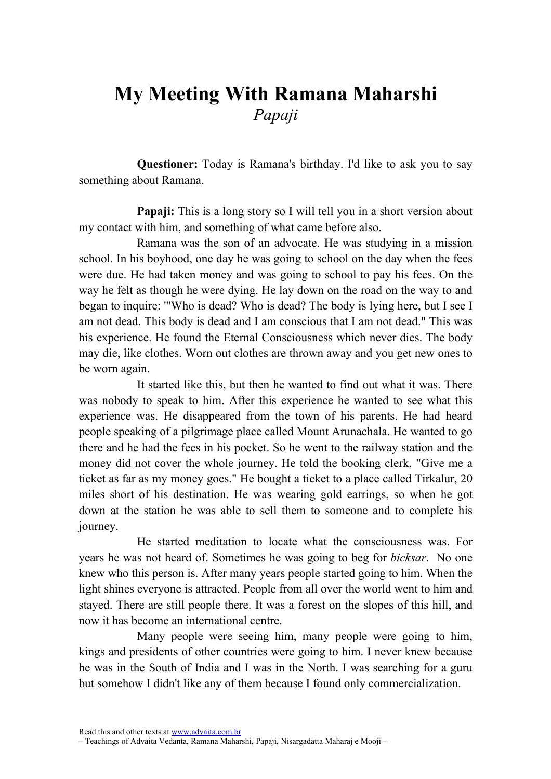## My Meeting With Ramana Maharshi Papaji

Questioner: Today is Ramana's birthday. I'd like to ask you to say something about Ramana.

**Papaji:** This is a long story so I will tell you in a short version about my contact with him, and something of what came before also.

Ramana was the son of an advocate. He was studying in a mission school. In his boyhood, one day he was going to school on the day when the fees were due. He had taken money and was going to school to pay his fees. On the way he felt as though he were dying. He lay down on the road on the way to and began to inquire: '"Who is dead? Who is dead? The body is lying here, but I see I am not dead. This body is dead and I am conscious that I am not dead." This was his experience. He found the Eternal Consciousness which never dies. The body may die, like clothes. Worn out clothes are thrown away and you get new ones to be worn again.

It started like this, but then he wanted to find out what it was. There was nobody to speak to him. After this experience he wanted to see what this experience was. He disappeared from the town of his parents. He had heard people speaking of a pilgrimage place called Mount Arunachala. He wanted to go there and he had the fees in his pocket. So he went to the railway station and the money did not cover the whole journey. He told the booking clerk, "Give me a ticket as far as my money goes." He bought a ticket to a place called Tirkalur, 20 miles short of his destination. He was wearing gold earrings, so when he got down at the station he was able to sell them to someone and to complete his journey.

He started meditation to locate what the consciousness was. For years he was not heard of. Sometimes he was going to beg for bicksar. No one knew who this person is. After many years people started going to him. When the light shines everyone is attracted. People from all over the world went to him and stayed. There are still people there. It was a forest on the slopes of this hill, and now it has become an international centre.

Many people were seeing him, many people were going to him, kings and presidents of other countries were going to him. I never knew because he was in the South of India and I was in the North. I was searching for a guru but somehow I didn't like any of them because I found only commercialization.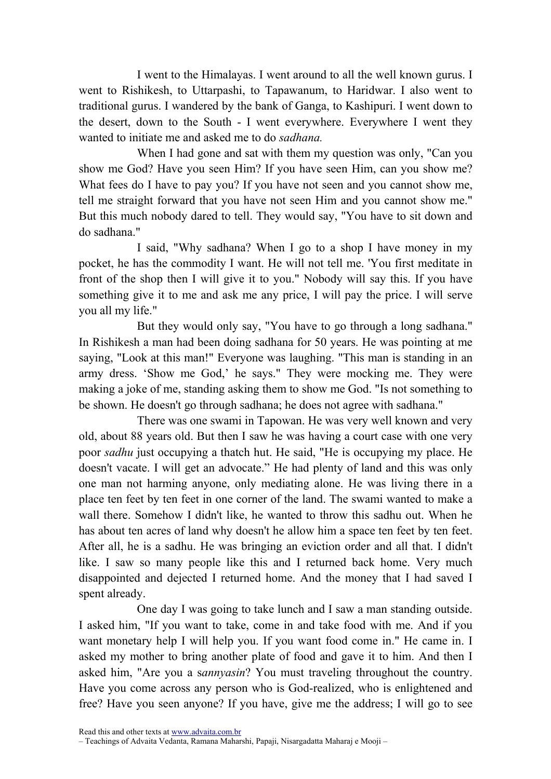I went to the Himalayas. I went around to all the well known gurus. I went to Rishikesh, to Uttarpashi, to Tapawanum, to Haridwar. I also went to traditional gurus. I wandered by the bank of Ganga, to Kashipuri. I went down to the desert, down to the South - I went everywhere. Everywhere I went they wanted to initiate me and asked me to do sadhana.

When I had gone and sat with them my question was only, "Can you show me God? Have you seen Him? If you have seen Him, can you show me? What fees do I have to pay you? If you have not seen and you cannot show me, tell me straight forward that you have not seen Him and you cannot show me." But this much nobody dared to tell. They would say, "You have to sit down and do sadhana."

I said, "Why sadhana? When I go to a shop I have money in my pocket, he has the commodity I want. He will not tell me. 'You first meditate in front of the shop then I will give it to you." Nobody will say this. If you have something give it to me and ask me any price, I will pay the price. I will serve you all my life."

But they would only say, "You have to go through a long sadhana." In Rishikesh a man had been doing sadhana for 50 years. He was pointing at me saying, "Look at this man!" Everyone was laughing. "This man is standing in an army dress. 'Show me God,' he says." They were mocking me. They were making a joke of me, standing asking them to show me God. "Is not something to be shown. He doesn't go through sadhana; he does not agree with sadhana."

There was one swami in Tapowan. He was very well known and very old, about 88 years old. But then I saw he was having a court case with one very poor sadhu just occupying a thatch hut. He said, "He is occupying my place. He doesn't vacate. I will get an advocate." He had plenty of land and this was only one man not harming anyone, only mediating alone. He was living there in a place ten feet by ten feet in one corner of the land. The swami wanted to make a wall there. Somehow I didn't like, he wanted to throw this sadhu out. When he has about ten acres of land why doesn't he allow him a space ten feet by ten feet. After all, he is a sadhu. He was bringing an eviction order and all that. I didn't like. I saw so many people like this and I returned back home. Very much disappointed and dejected I returned home. And the money that I had saved I spent already.

One day I was going to take lunch and I saw a man standing outside. I asked him, "If you want to take, come in and take food with me. And if you want monetary help I will help you. If you want food come in." He came in. I asked my mother to bring another plate of food and gave it to him. And then I asked him, "Are you a sannyasin? You must traveling throughout the country. Have you come across any person who is God-realized, who is enlightened and free? Have you seen anyone? If you have, give me the address; I will go to see

Read this and other texts at www.advaita.com.br

<sup>–</sup> Teachings of Advaita Vedanta, Ramana Maharshi, Papaji, Nisargadatta Maharaj e Mooji –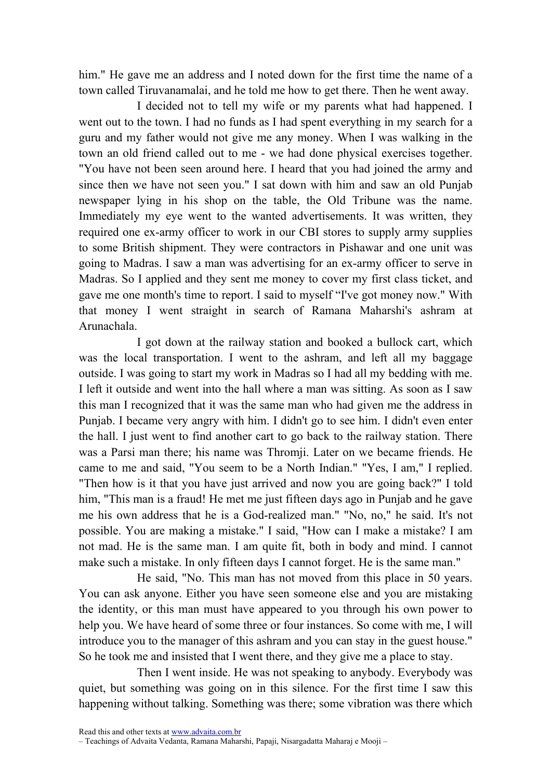him." He gave me an address and I noted down for the first time the name of a town called Tiruvanamalai, and he told me how to get there. Then he went away.

I decided not to tell my wife or my parents what had happened. I went out to the town. I had no funds as I had spent everything in my search for a guru and my father would not give me any money. When I was walking in the town an old friend called out to me - we had done physical exercises together. "You have not been seen around here. I heard that you had joined the army and since then we have not seen you." I sat down with him and saw an old Punjab newspaper lying in his shop on the table, the Old Tribune was the name. Immediately my eye went to the wanted advertisements. It was written, they required one ex-army officer to work in our CBI stores to supply army supplies to some British shipment. They were contractors in Pishawar and one unit was going to Madras. I saw a man was advertising for an ex-army officer to serve in Madras. So I applied and they sent me money to cover my first class ticket, and gave me one month's time to report. I said to myself "I've got money now." With that money I went straight in search of Ramana Maharshi's ashram at Arunachala.

I got down at the railway station and booked a bullock cart, which was the local transportation. I went to the ashram, and left all my baggage outside. I was going to start my work in Madras so I had all my bedding with me. I left it outside and went into the hall where a man was sitting. As soon as I saw this man I recognized that it was the same man who had given me the address in Punjab. I became very angry with him. I didn't go to see him. I didn't even enter the hall. I just went to find another cart to go back to the railway station. There was a Parsi man there; his name was Thromji. Later on we became friends. He came to me and said, "You seem to be a North Indian." "Yes, I am," I replied. "Then how is it that you have just arrived and now you are going back?" I told him, "This man is a fraud! He met me just fifteen days ago in Punjab and he gave me his own address that he is a God-realized man." "No, no," he said. It's not possible. You are making a mistake." I said, "How can I make a mistake? I am not mad. He is the same man. I am quite fit, both in body and mind. I cannot make such a mistake. In only fifteen days I cannot forget. He is the same man."

He said, "No. This man has not moved from this place in 50 years. You can ask anyone. Either you have seen someone else and you are mistaking the identity, or this man must have appeared to you through his own power to help you. We have heard of some three or four instances. So come with me, I will introduce you to the manager of this ashram and you can stay in the guest house." So he took me and insisted that I went there, and they give me a place to stay.

Then I went inside. He was not speaking to anybody. Everybody was quiet, but something was going on in this silence. For the first time I saw this happening without talking. Something was there; some vibration was there which

<sup>–</sup> Teachings of Advaita Vedanta, Ramana Maharshi, Papaji, Nisargadatta Maharaj e Mooji –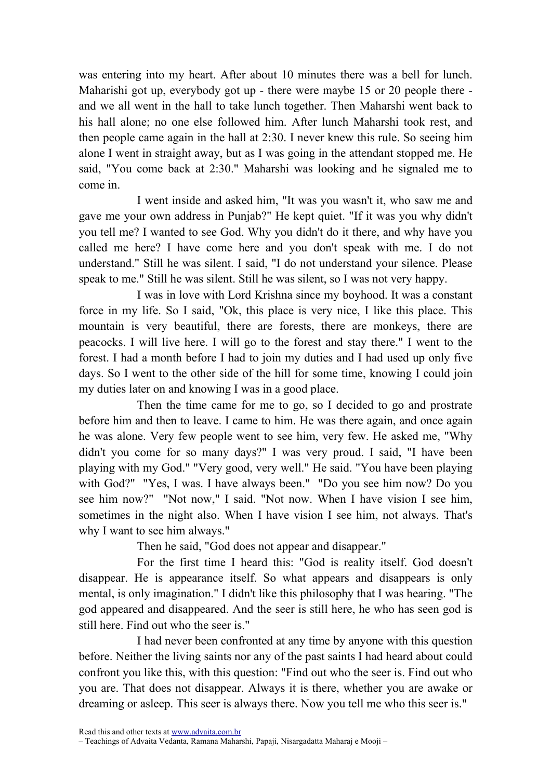was entering into my heart. After about 10 minutes there was a bell for lunch. Maharishi got up, everybody got up - there were maybe 15 or 20 people there and we all went in the hall to take lunch together. Then Maharshi went back to his hall alone; no one else followed him. After lunch Maharshi took rest, and then people came again in the hall at 2:30. I never knew this rule. So seeing him alone I went in straight away, but as I was going in the attendant stopped me. He said, "You come back at 2:30." Maharshi was looking and he signaled me to come in.

I went inside and asked him, "It was you wasn't it, who saw me and gave me your own address in Punjab?" He kept quiet. "If it was you why didn't you tell me? I wanted to see God. Why you didn't do it there, and why have you called me here? I have come here and you don't speak with me. I do not understand." Still he was silent. I said, "I do not understand your silence. Please speak to me." Still he was silent. Still he was silent, so I was not very happy.

I was in love with Lord Krishna since my boyhood. It was a constant force in my life. So I said, "Ok, this place is very nice, I like this place. This mountain is very beautiful, there are forests, there are monkeys, there are peacocks. I will live here. I will go to the forest and stay there." I went to the forest. I had a month before I had to join my duties and I had used up only five days. So I went to the other side of the hill for some time, knowing I could join my duties later on and knowing I was in a good place.

Then the time came for me to go, so I decided to go and prostrate before him and then to leave. I came to him. He was there again, and once again he was alone. Very few people went to see him, very few. He asked me, "Why didn't you come for so many days?" I was very proud. I said, "I have been playing with my God." "Very good, very well." He said. "You have been playing with God?" "Yes, I was. I have always been." "Do you see him now? Do you see him now?" "Not now," I said. "Not now. When I have vision I see him, sometimes in the night also. When I have vision I see him, not always. That's why I want to see him always."

Then he said, "God does not appear and disappear."

For the first time I heard this: "God is reality itself. God doesn't disappear. He is appearance itself. So what appears and disappears is only mental, is only imagination." I didn't like this philosophy that I was hearing. "The god appeared and disappeared. And the seer is still here, he who has seen god is still here. Find out who the seer is."

I had never been confronted at any time by anyone with this question before. Neither the living saints nor any of the past saints I had heard about could confront you like this, with this question: "Find out who the seer is. Find out who you are. That does not disappear. Always it is there, whether you are awake or dreaming or asleep. This seer is always there. Now you tell me who this seer is."

Read this and other texts at www.advaita.com.br

– Teachings of Advaita Vedanta, Ramana Maharshi, Papaji, Nisargadatta Maharaj e Mooji –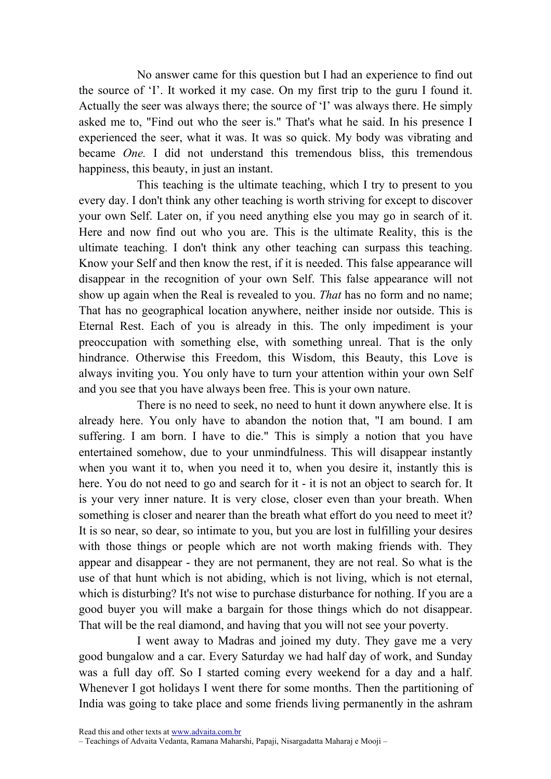No answer came for this question but I had an experience to find out the source of 'I'. It worked it my case. On my first trip to the guru I found it. Actually the seer was always there; the source of 'I' was always there. He simply asked me to, "Find out who the seer is." That's what he said. In his presence I experienced the seer, what it was. It was so quick. My body was vibrating and became One. I did not understand this tremendous bliss, this tremendous happiness, this beauty, in just an instant.

This teaching is the ultimate teaching, which I try to present to you every day. I don't think any other teaching is worth striving for except to discover your own Self. Later on, if you need anything else you may go in search of it. Here and now find out who you are. This is the ultimate Reality, this is the ultimate teaching. I don't think any other teaching can surpass this teaching. Know your Self and then know the rest, if it is needed. This false appearance will disappear in the recognition of your own Self. This false appearance will not show up again when the Real is revealed to you. *That* has no form and no name; That has no geographical location anywhere, neither inside nor outside. This is Eternal Rest. Each of you is already in this. The only impediment is your preoccupation with something else, with something unreal. That is the only hindrance. Otherwise this Freedom, this Wisdom, this Beauty, this Love is always inviting you. You only have to turn your attention within your own Self and you see that you have always been free. This is your own nature.

There is no need to seek, no need to hunt it down anywhere else. It is already here. You only have to abandon the notion that, "I am bound. I am suffering. I am born. I have to die." This is simply a notion that you have entertained somehow, due to your unmindfulness. This will disappear instantly when you want it to, when you need it to, when you desire it, instantly this is here. You do not need to go and search for it - it is not an object to search for. It is your very inner nature. It is very close, closer even than your breath. When something is closer and nearer than the breath what effort do you need to meet it? It is so near, so dear, so intimate to you, but you are lost in fulfilling your desires with those things or people which are not worth making friends with. They appear and disappear - they are not permanent, they are not real. So what is the use of that hunt which is not abiding, which is not living, which is not eternal, which is disturbing? It's not wise to purchase disturbance for nothing. If you are a good buyer you will make a bargain for those things which do not disappear. That will be the real diamond, and having that you will not see your poverty.

I went away to Madras and joined my duty. They gave me a very good bungalow and a car. Every Saturday we had half day of work, and Sunday was a full day off. So I started coming every weekend for a day and a half. Whenever I got holidays I went there for some months. Then the partitioning of India was going to take place and some friends living permanently in the ashram

<sup>–</sup> Teachings of Advaita Vedanta, Ramana Maharshi, Papaji, Nisargadatta Maharaj e Mooji –